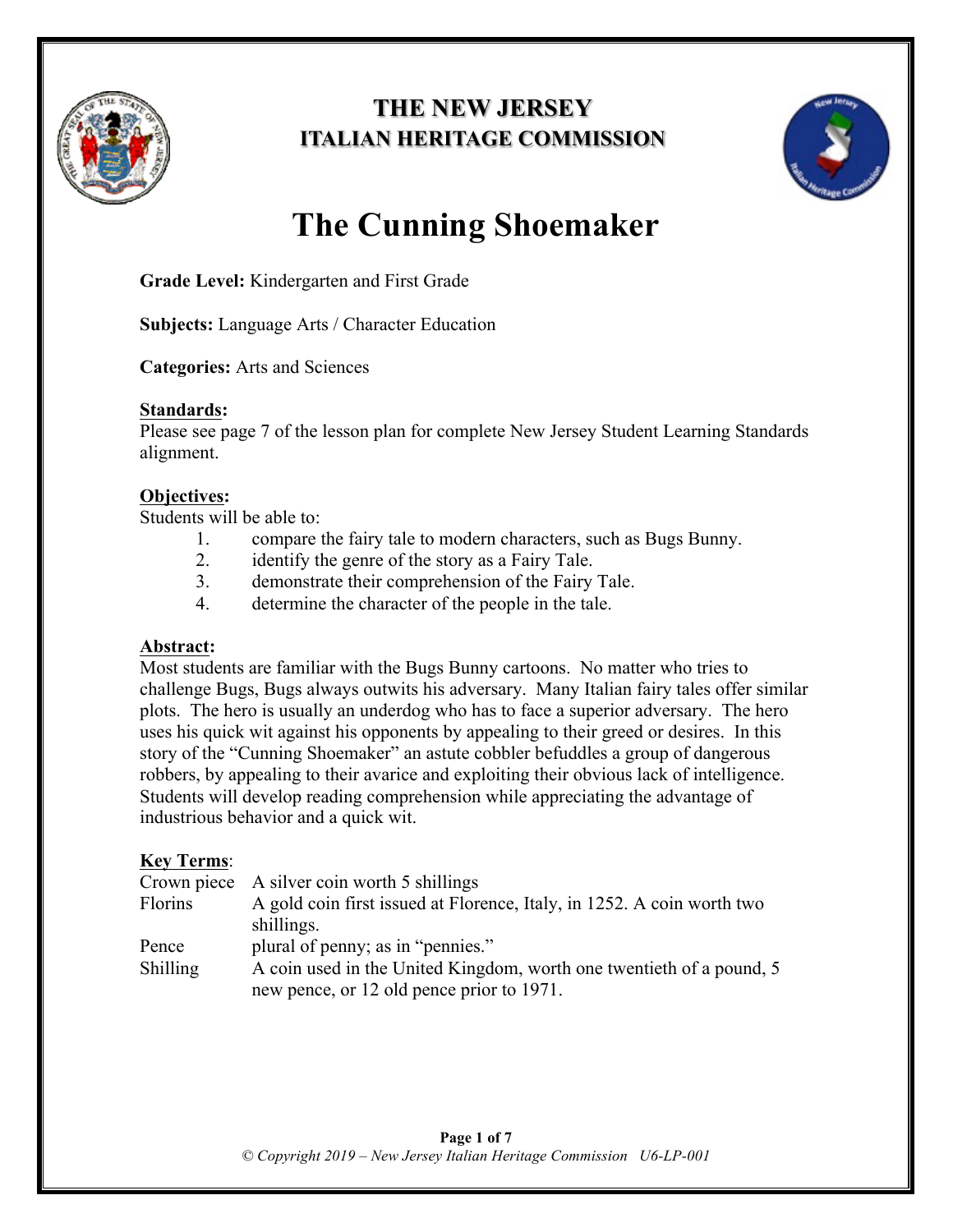

# **THE NEW JERSEY ITALIAN HERITAGE COMMISSION**



# **The Cunning Shoemaker**

**Grade Level:** Kindergarten and First Grade

**Subjects:** Language Arts / Character Education

**Categories:** Arts and Sciences

#### **Standards:**

Please see page 7 of the lesson plan for complete New Jersey Student Learning Standards alignment.

#### **Objectives:**

Students will be able to:

- 1. compare the fairy tale to modern characters, such as Bugs Bunny.
- 2. identify the genre of the story as a Fairy Tale.
- 3. demonstrate their comprehension of the Fairy Tale.
- 4. determine the character of the people in the tale.

#### **Abstract:**

Most students are familiar with the Bugs Bunny cartoons. No matter who tries to challenge Bugs, Bugs always outwits his adversary. Many Italian fairy tales offer similar plots. The hero is usually an underdog who has to face a superior adversary. The hero uses his quick wit against his opponents by appealing to their greed or desires. In this story of the "Cunning Shoemaker" an astute cobbler befuddles a group of dangerous robbers, by appealing to their avarice and exploiting their obvious lack of intelligence. Students will develop reading comprehension while appreciating the advantage of industrious behavior and a quick wit.

#### **Key Terms**:

| Crown piece A silver coin worth 5 shillings                            |
|------------------------------------------------------------------------|
| A gold coin first issued at Florence, Italy, in 1252. A coin worth two |
| shillings.                                                             |
| plural of penny; as in "pennies."                                      |
| A coin used in the United Kingdom, worth one twentieth of a pound, 5   |
| new pence, or 12 old pence prior to 1971.                              |
|                                                                        |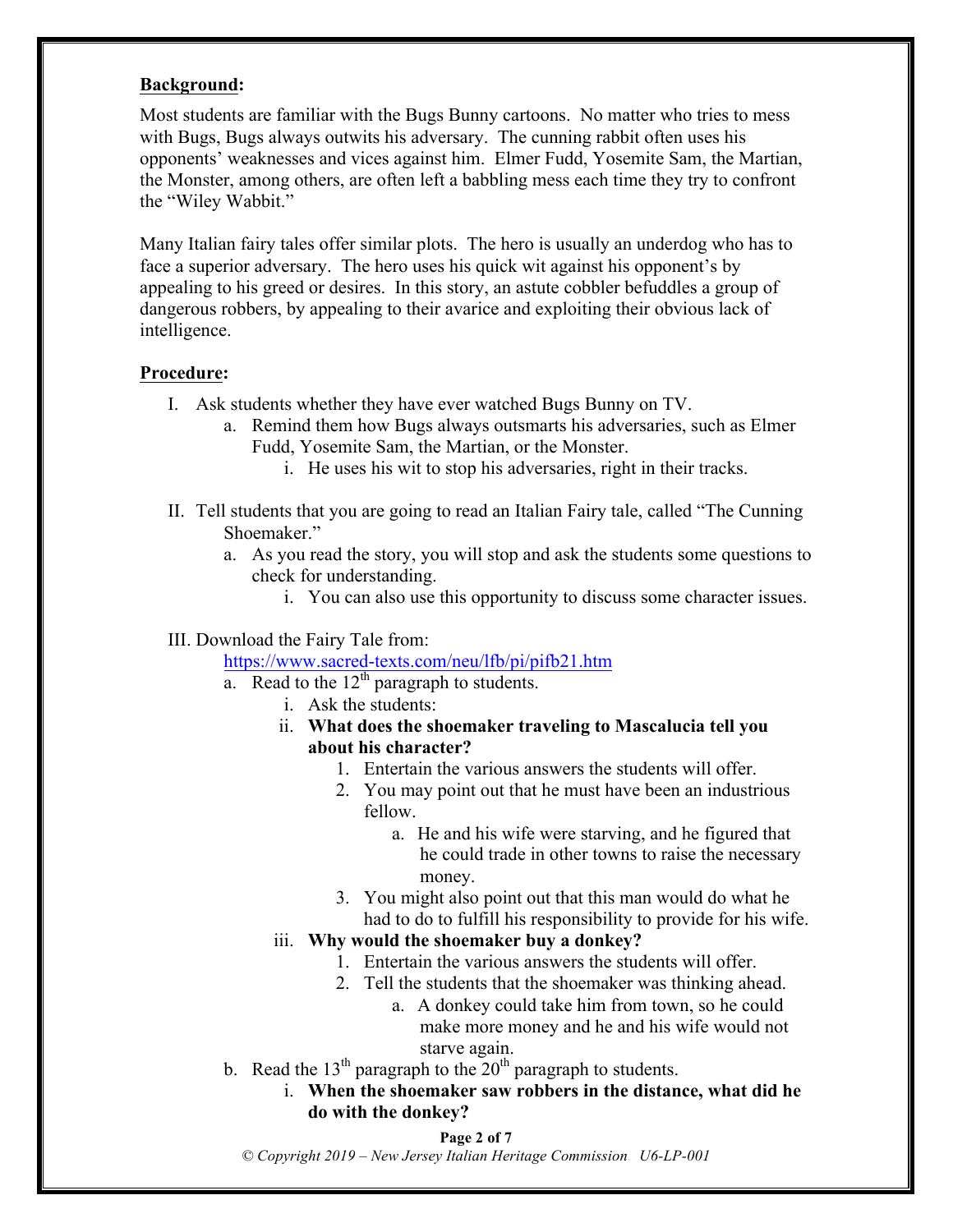#### **Background:**

Most students are familiar with the Bugs Bunny cartoons. No matter who tries to mess with Bugs, Bugs always outwits his adversary. The cunning rabbit often uses his opponents' weaknesses and vices against him. Elmer Fudd, Yosemite Sam, the Martian, the Monster, among others, are often left a babbling mess each time they try to confront the "Wiley Wabbit."

Many Italian fairy tales offer similar plots. The hero is usually an underdog who has to face a superior adversary. The hero uses his quick wit against his opponent's by appealing to his greed or desires. In this story, an astute cobbler befuddles a group of dangerous robbers, by appealing to their avarice and exploiting their obvious lack of intelligence.

#### **Procedure:**

- I. Ask students whether they have ever watched Bugs Bunny on TV.
	- a. Remind them how Bugs always outsmarts his adversaries, such as Elmer Fudd, Yosemite Sam, the Martian, or the Monster.
		- i. He uses his wit to stop his adversaries, right in their tracks.
- II. Tell students that you are going to read an Italian Fairy tale, called "The Cunning Shoemaker."
	- a. As you read the story, you will stop and ask the students some questions to check for understanding.
		- i. You can also use this opportunity to discuss some character issues.

#### III. Download the Fairy Tale from:

https://www.sacred-texts.com/neu/lfb/pi/pifb21.htm

- a. Read to the  $12<sup>th</sup>$  paragraph to students.
	- i. Ask the students:
	- ii. **What does the shoemaker traveling to Mascalucia tell you about his character?**
		- 1. Entertain the various answers the students will offer.
		- 2. You may point out that he must have been an industrious fellow.
			- a. He and his wife were starving, and he figured that he could trade in other towns to raise the necessary money.
		- 3. You might also point out that this man would do what he had to do to fulfill his responsibility to provide for his wife.

#### iii. **Why would the shoemaker buy a donkey?**

- 1. Entertain the various answers the students will offer.
- 2. Tell the students that the shoemaker was thinking ahead.
	- a. A donkey could take him from town, so he could make more money and he and his wife would not starve again.
- b. Read the 13<sup>th</sup> paragraph to the  $20<sup>th</sup>$  paragraph to students.
	- i. **When the shoemaker saw robbers in the distance, what did he do with the donkey?**

#### **Page 2 of 7**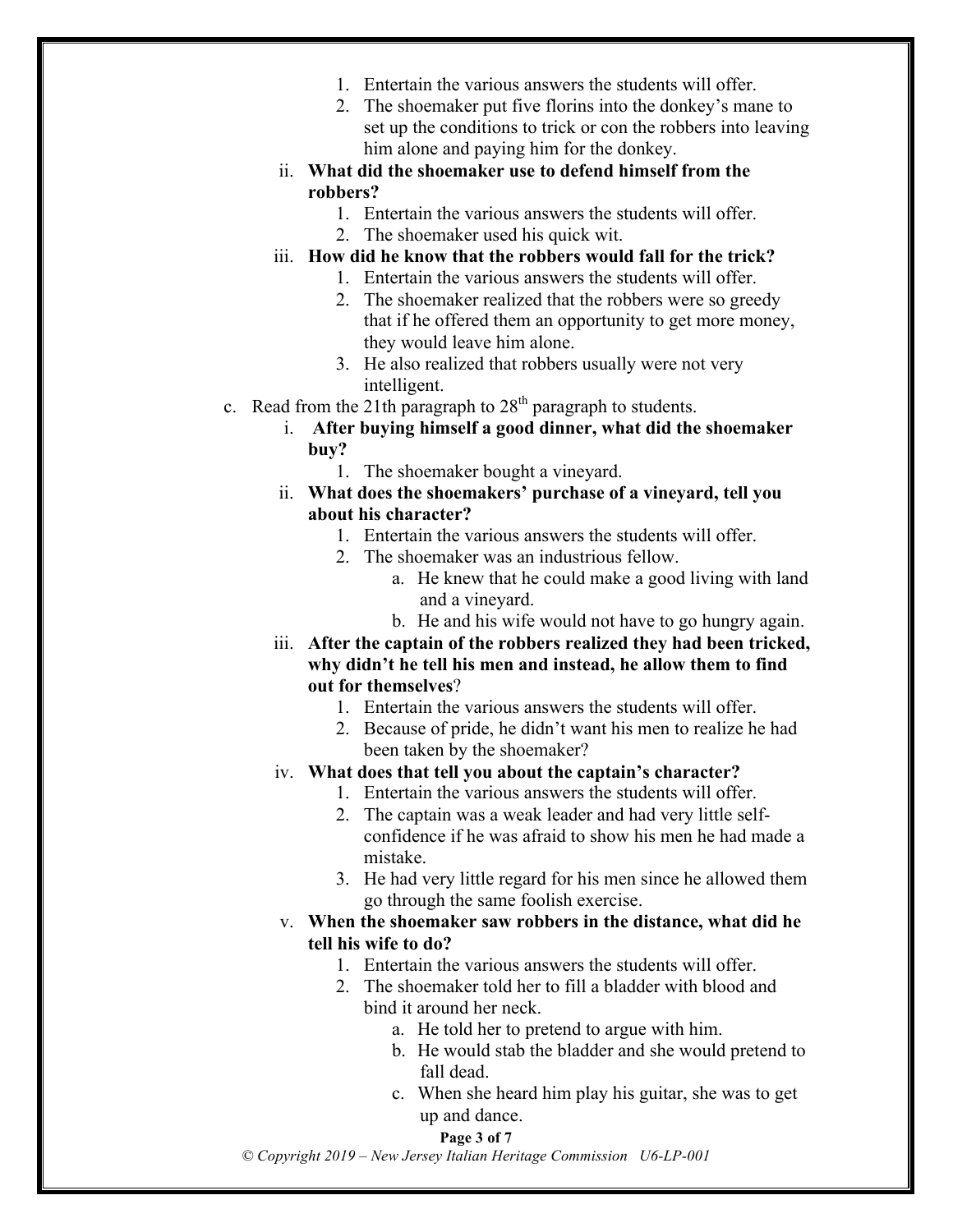- 1. Entertain the various answers the students will offer.
- 2. The shoemaker put five florins into the donkey's mane to set up the conditions to trick or con the robbers into leaving him alone and paying him for the donkey.
- ii. **What did the shoemaker use to defend himself from the robbers?**
	- 1. Entertain the various answers the students will offer.
	- 2. The shoemaker used his quick wit.
- iii. **How did he know that the robbers would fall for the trick?**
	- 1. Entertain the various answers the students will offer.
	- 2. The shoemaker realized that the robbers were so greedy that if he offered them an opportunity to get more money, they would leave him alone.
	- 3. He also realized that robbers usually were not very intelligent.
- c. Read from the 21th paragraph to  $28<sup>th</sup>$  paragraph to students.
	- i. **After buying himself a good dinner, what did the shoemaker buy?**
		- 1. The shoemaker bought a vineyard.
	- ii. **What does the shoemakers' purchase of a vineyard, tell you about his character?** 
		- 1. Entertain the various answers the students will offer.
		- 2. The shoemaker was an industrious fellow.
			- a. He knew that he could make a good living with land and a vineyard.
			- b. He and his wife would not have to go hungry again.
	- iii. **After the captain of the robbers realized they had been tricked, why didn't he tell his men and instead, he allow them to find out for themselves**?
		- 1. Entertain the various answers the students will offer.
		- 2. Because of pride, he didn't want his men to realize he had been taken by the shoemaker?
	- iv. **What does that tell you about the captain's character?**
		- 1. Entertain the various answers the students will offer.
		- 2. The captain was a weak leader and had very little selfconfidence if he was afraid to show his men he had made a mistake.
		- 3. He had very little regard for his men since he allowed them go through the same foolish exercise.
	- v. **When the shoemaker saw robbers in the distance, what did he tell his wife to do?**
		- 1. Entertain the various answers the students will offer.
		- 2. The shoemaker told her to fill a bladder with blood and bind it around her neck.
			- a. He told her to pretend to argue with him.
			- b. He would stab the bladder and she would pretend to fall dead.
			- c. When she heard him play his guitar, she was to get up and dance.

#### **Page 3 of 7**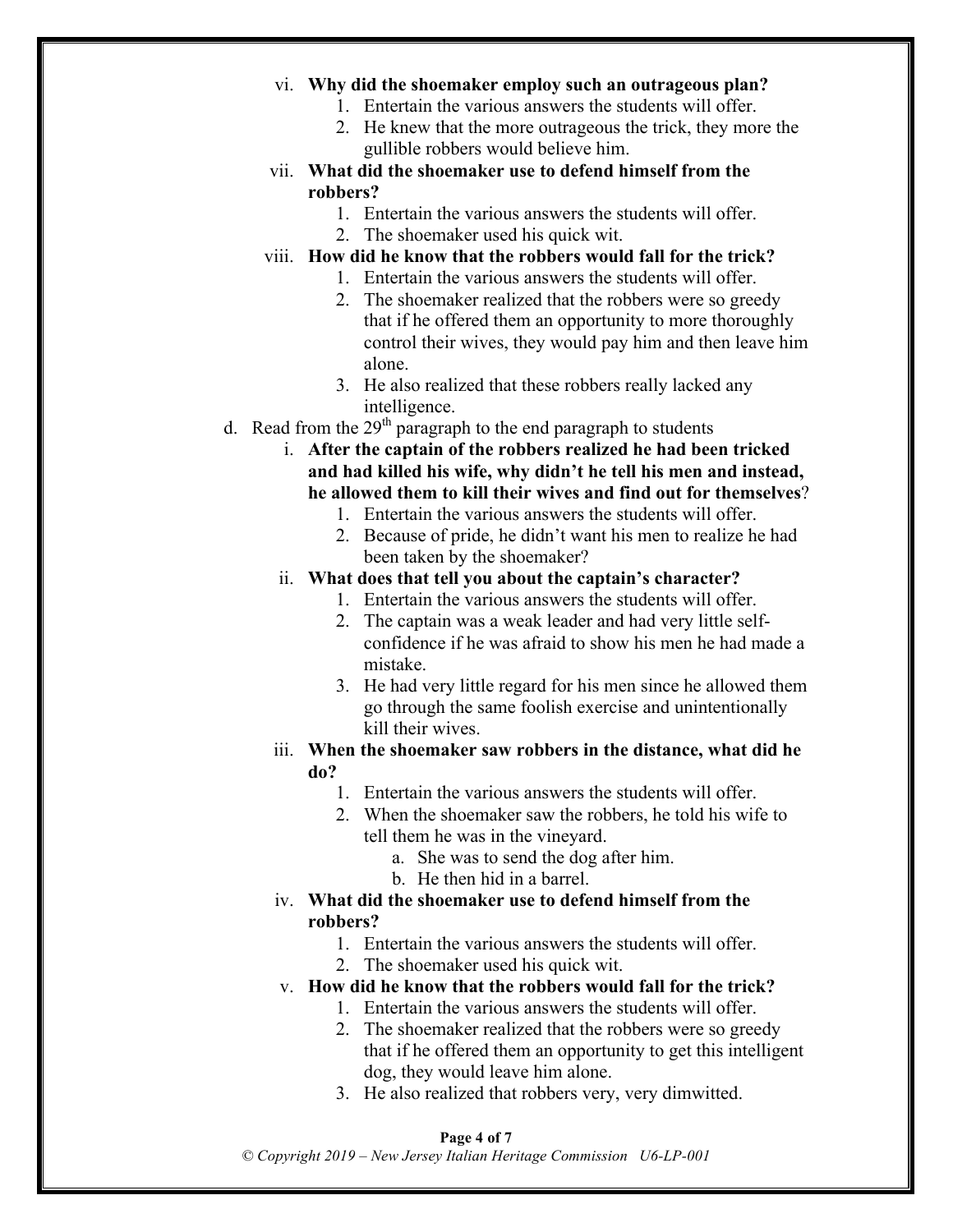#### vi. **Why did the shoemaker employ such an outrageous plan?**

- 1. Entertain the various answers the students will offer.
- 2. He knew that the more outrageous the trick, they more the gullible robbers would believe him.
- vii. **What did the shoemaker use to defend himself from the robbers?**
	- 1. Entertain the various answers the students will offer.
	- 2. The shoemaker used his quick wit.
- viii. **How did he know that the robbers would fall for the trick?**
	- 1. Entertain the various answers the students will offer.
	- 2. The shoemaker realized that the robbers were so greedy that if he offered them an opportunity to more thoroughly control their wives, they would pay him and then leave him alone.
	- 3. He also realized that these robbers really lacked any intelligence.
- d. Read from the  $29<sup>th</sup>$  paragraph to the end paragraph to students
	- i. **After the captain of the robbers realized he had been tricked and had killed his wife, why didn't he tell his men and instead, he allowed them to kill their wives and find out for themselves**?
		- 1. Entertain the various answers the students will offer.
		- 2. Because of pride, he didn't want his men to realize he had been taken by the shoemaker?
	- ii. **What does that tell you about the captain's character?**
		- 1. Entertain the various answers the students will offer.
		- 2. The captain was a weak leader and had very little selfconfidence if he was afraid to show his men he had made a mistake.
		- 3. He had very little regard for his men since he allowed them go through the same foolish exercise and unintentionally kill their wives.
	- iii. **When the shoemaker saw robbers in the distance, what did he do?**
		- 1. Entertain the various answers the students will offer.
		- 2. When the shoemaker saw the robbers, he told his wife to tell them he was in the vineyard.
			- a. She was to send the dog after him.
			- b. He then hid in a barrel.
	- iv. **What did the shoemaker use to defend himself from the robbers?**
		- 1. Entertain the various answers the students will offer.
		- 2. The shoemaker used his quick wit.
	- v. **How did he know that the robbers would fall for the trick?**
		- 1. Entertain the various answers the students will offer.
		- 2. The shoemaker realized that the robbers were so greedy that if he offered them an opportunity to get this intelligent dog, they would leave him alone.
		- 3. He also realized that robbers very, very dimwitted.

#### **Page 4 of 7**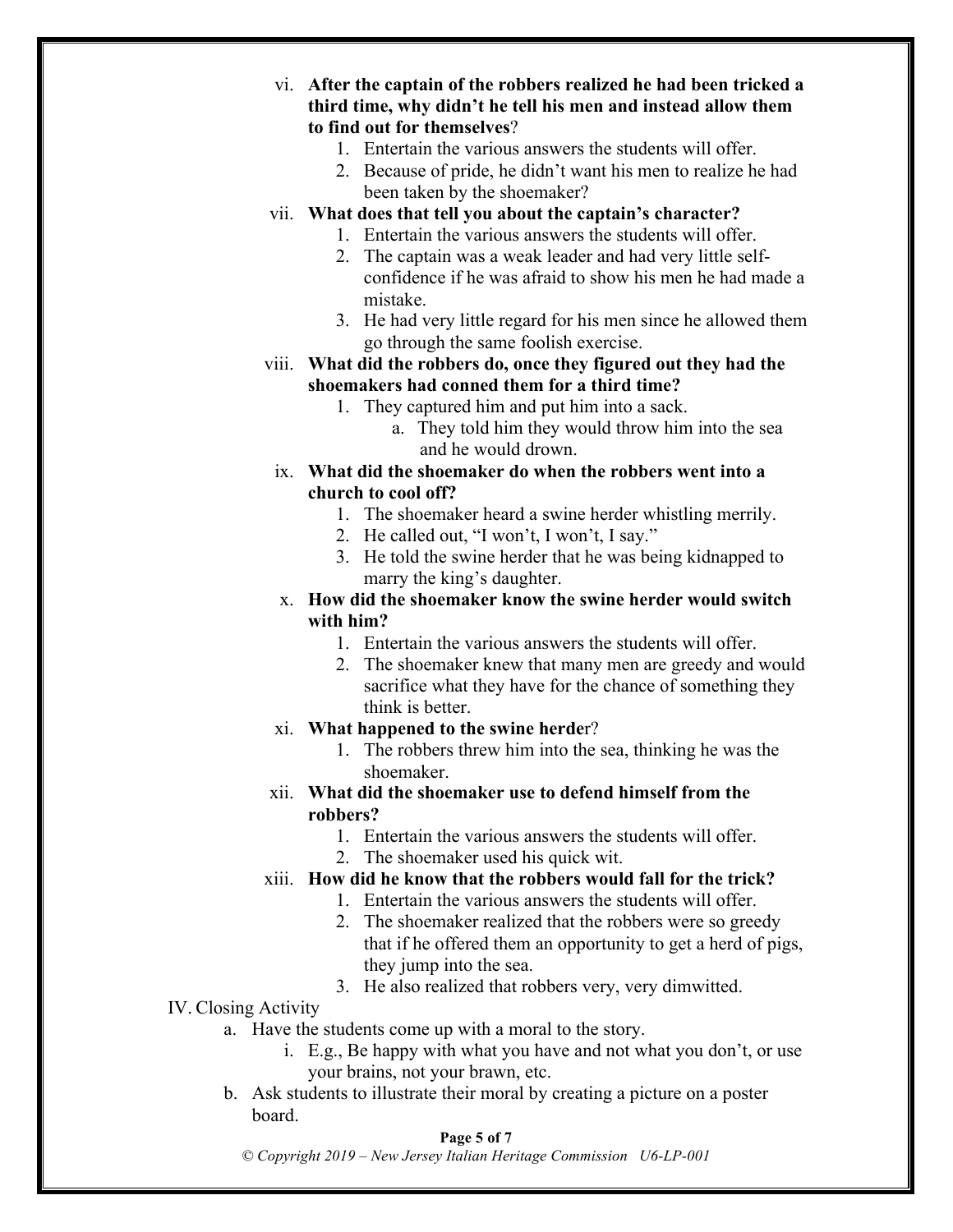- vi. **After the captain of the robbers realized he had been tricked a third time, why didn't he tell his men and instead allow them to find out for themselves**?
	- 1. Entertain the various answers the students will offer.
	- 2. Because of pride, he didn't want his men to realize he had been taken by the shoemaker?
- vii. **What does that tell you about the captain's character?**
	- 1. Entertain the various answers the students will offer.
	- 2. The captain was a weak leader and had very little selfconfidence if he was afraid to show his men he had made a mistake.
	- 3. He had very little regard for his men since he allowed them go through the same foolish exercise.
- viii. **What did the robbers do, once they figured out they had the shoemakers had conned them for a third time?**
	- 1. They captured him and put him into a sack.
		- a. They told him they would throw him into the sea and he would drown.
	- ix. **What did the shoemaker do when the robbers went into a church to cool off?**
		- 1. The shoemaker heard a swine herder whistling merrily.
		- 2. He called out, "I won't, I won't, I say."
		- 3. He told the swine herder that he was being kidnapped to marry the king's daughter.
	- x. **How did the shoemaker know the swine herder would switch with him?**
		- 1. Entertain the various answers the students will offer.
		- 2. The shoemaker knew that many men are greedy and would sacrifice what they have for the chance of something they think is better.
	- xi. **What happened to the swine herde**r?
		- 1. The robbers threw him into the sea, thinking he was the shoemaker.
- xii. **What did the shoemaker use to defend himself from the robbers?**
	- 1. Entertain the various answers the students will offer.
	- 2. The shoemaker used his quick wit.
- xiii. **How did he know that the robbers would fall for the trick?**
	- 1. Entertain the various answers the students will offer.
		- 2. The shoemaker realized that the robbers were so greedy that if he offered them an opportunity to get a herd of pigs, they jump into the sea.
		- 3. He also realized that robbers very, very dimwitted.

#### IV. Closing Activity

- a. Have the students come up with a moral to the story.
	- i. E.g., Be happy with what you have and not what you don't, or use your brains, not your brawn, etc.
- b. Ask students to illustrate their moral by creating a picture on a poster board.

#### **Page 5 of 7**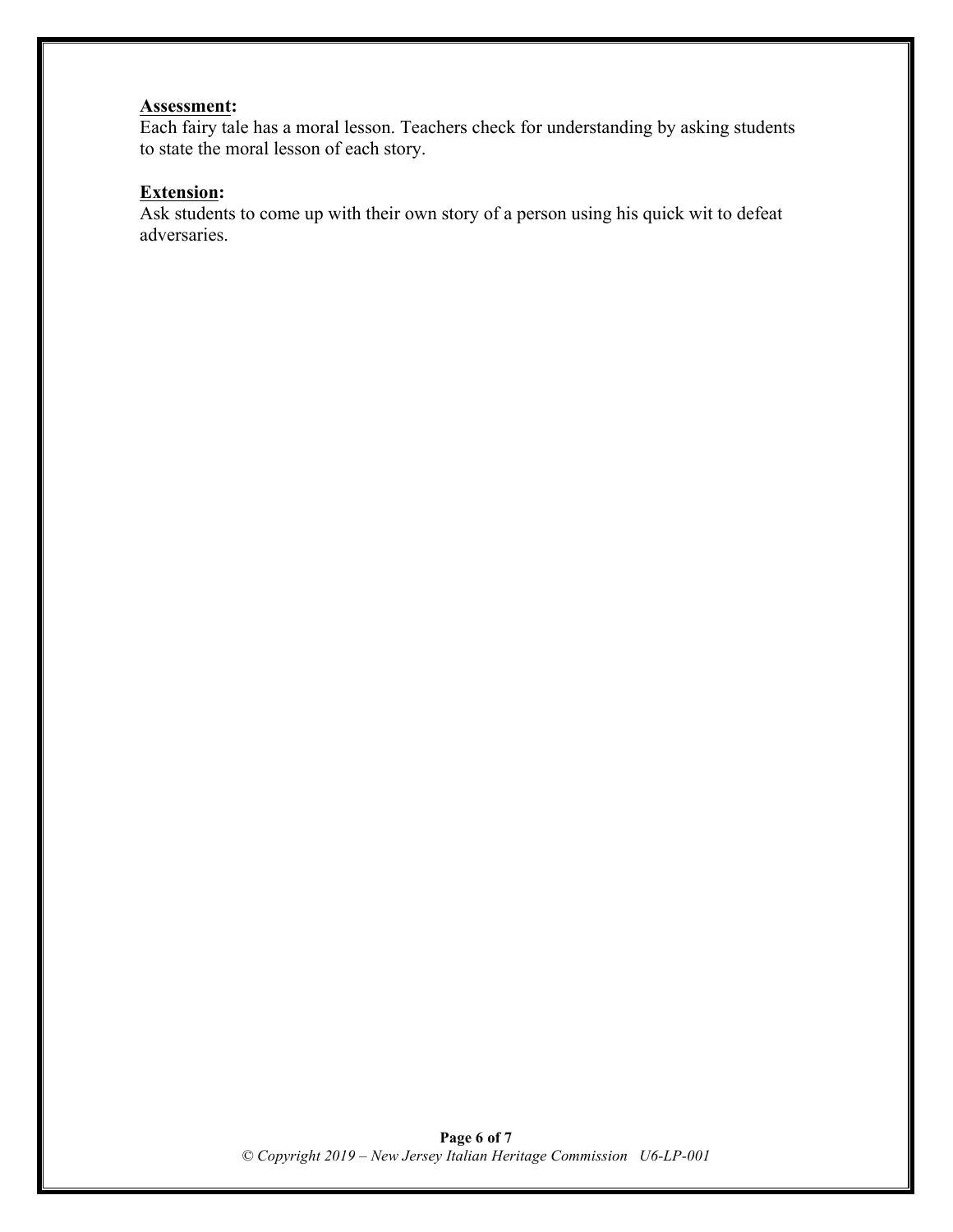### **Assessment:**

Each fairy tale has a moral lesson. Teachers check for understanding by asking students to state the moral lesson of each story.

## **Extension:**

Ask students to come up with their own story of a person using his quick wit to defeat adversaries.